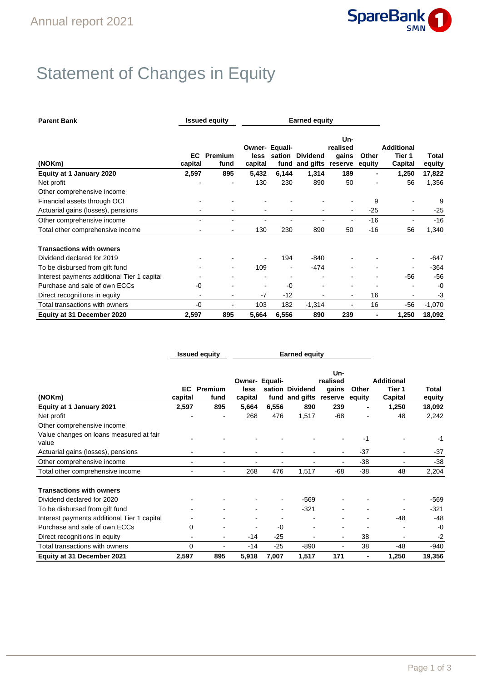

## Statement of Changes in Equity

| <b>Parent Bank</b>                          |                | <b>Issued equity</b>     |                 | <b>Earned equity</b>     |                                   |                                     |                 |                                        |                 |
|---------------------------------------------|----------------|--------------------------|-----------------|--------------------------|-----------------------------------|-------------------------------------|-----------------|----------------------------------------|-----------------|
| (NOKm)                                      | EC.<br>capital | Premium<br>fund          | less<br>capital | Owner- Equali-<br>sation | <b>Dividend</b><br>fund and gifts | Un-<br>realised<br>gains<br>reserve | Other<br>equity | <b>Additional</b><br>Tier 1<br>Capital | Total<br>equity |
| Equity at 1 January 2020                    | 2,597          | 895                      | 5,432           | 6,144                    | 1,314                             | 189                                 | ۰               | 1,250                                  | 17,822          |
| Net profit                                  |                |                          | 130             | 230                      | 890                               | 50                                  |                 | 56                                     | 1,356           |
| Other comprehensive income                  |                |                          |                 |                          |                                   |                                     |                 |                                        |                 |
| Financial assets through OCI                |                |                          |                 |                          |                                   |                                     | 9               |                                        | 9               |
| Actuarial gains (losses), pensions          |                |                          |                 |                          | $\overline{a}$                    | $\blacksquare$                      | $-25$           | $\blacksquare$                         | $-25$           |
| Other comprehensive income                  | $\blacksquare$ |                          |                 |                          | $\blacksquare$                    | ٠                                   | $-16$           |                                        | $-16$           |
| Total other comprehensive income            | ۰              | ۰.                       | 130             | 230                      | 890                               | 50                                  | $-16$           | 56                                     | 1,340           |
| <b>Transactions with owners</b>             |                |                          |                 |                          |                                   |                                     |                 |                                        |                 |
| Dividend declared for 2019                  |                |                          |                 | 194                      | -840                              |                                     |                 |                                        | -647            |
| To be disbursed from gift fund              |                | $\overline{\phantom{0}}$ | 109             | $\overline{\phantom{a}}$ | $-474$                            |                                     |                 |                                        | $-364$          |
| Interest payments additional Tier 1 capital |                |                          |                 |                          |                                   |                                     |                 | $-56$                                  | $-56$           |
| Purchase and sale of own ECCs               | -0             |                          | $\blacksquare$  | $-0$                     | $\overline{a}$                    |                                     |                 |                                        | $-0$            |
| Direct recognitions in equity               |                |                          | $-7$            | $-12$                    |                                   | $\blacksquare$                      | 16              |                                        | -3              |
| Total transactions with owners              | -0             |                          | 103             | 182                      | $-1,314$                          |                                     | 16              | $-56$                                  | $-1,070$        |
| Equity at 31 December 2020                  | 2,597          | 895                      | 5,664           | 6,556                    | 890                               | 239                                 | $\blacksquare$  | 1,250                                  | 18,092          |

|                                                  | <b>Issued equity</b> | <b>Earned equity</b> |                 |                |                                   |                                     |                 |                                        |                 |
|--------------------------------------------------|----------------------|----------------------|-----------------|----------------|-----------------------------------|-------------------------------------|-----------------|----------------------------------------|-----------------|
| (NOKm)                                           | EC<br>capital        | Premium<br>fund      | less<br>capital | Owner- Equali- | sation Dividend<br>fund and gifts | Un-<br>realised<br>gains<br>reserve | Other<br>equity | <b>Additional</b><br>Tier 1<br>Capital | Total<br>equity |
| Equity at 1 January 2021                         | 2,597                | 895                  | 5,664           | 6,556          | 890                               | 239                                 |                 | 1,250                                  | 18,092          |
| Net profit                                       |                      |                      | 268             | 476            | 1,517                             | -68                                 |                 | 48                                     | 2,242           |
| Other comprehensive income                       |                      |                      |                 |                |                                   |                                     |                 |                                        |                 |
| Value changes on loans measured at fair<br>value |                      |                      |                 |                |                                   |                                     | -1              |                                        | -1              |
| Actuarial gains (losses), pensions               |                      |                      |                 |                |                                   |                                     | $-37$           |                                        | $-37$           |
| Other comprehensive income                       |                      |                      | ٠               |                |                                   |                                     | $-38$           | ۰                                      | $-38$           |
| Total other comprehensive income                 |                      |                      | 268             | 476            | 1,517                             | -68                                 | $-38$           | 48                                     | 2,204           |
| <b>Transactions with owners</b>                  |                      |                      |                 |                |                                   |                                     |                 |                                        |                 |
| Dividend declared for 2020                       |                      |                      |                 |                | $-569$                            |                                     |                 |                                        | $-569$          |
| To be disbursed from gift fund                   |                      |                      |                 | -              | $-321$                            |                                     |                 |                                        | -321            |
| Interest payments additional Tier 1 capital      |                      |                      |                 |                |                                   |                                     |                 | -48                                    | $-48$           |
| Purchase and sale of own ECCs                    | 0                    |                      |                 | $-0$           |                                   |                                     |                 |                                        | $-0$            |
| Direct recognitions in equity                    | $\blacksquare$       | $\blacksquare$       | $-14$           | $-25$          |                                   | $\blacksquare$                      | 38              | $\blacksquare$                         | -2              |
| Total transactions with owners                   | 0                    |                      | $-14$           | $-25$          | $-890$                            |                                     | 38              | -48                                    | $-940$          |
| Equity at 31 December 2021                       | 2,597                | 895                  | 5,918           | 7,007          | 1,517                             | 171                                 | $\blacksquare$  | 1,250                                  | 19,356          |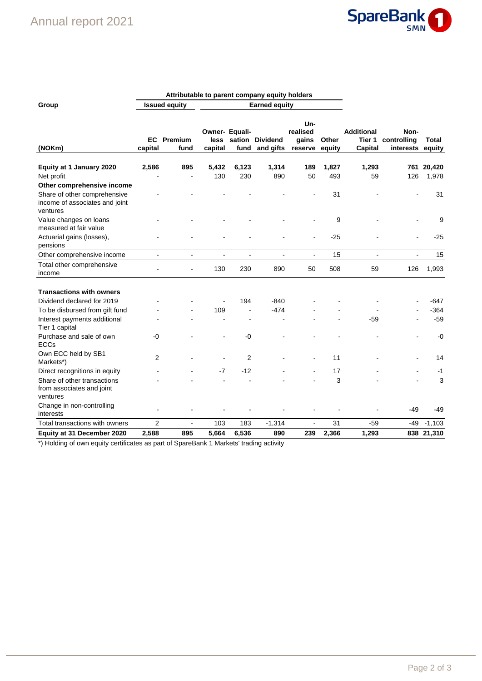

|                                                                            |                      | Attributable to parent company equity holders |                        |                        |                              |                                     |                 |                                        |                                  |                 |
|----------------------------------------------------------------------------|----------------------|-----------------------------------------------|------------------------|------------------------|------------------------------|-------------------------------------|-----------------|----------------------------------------|----------------------------------|-----------------|
| Group                                                                      | <b>Issued equity</b> |                                               |                        |                        | <b>Earned equity</b>         |                                     |                 |                                        |                                  |                 |
| (NOKm)                                                                     | EC.<br>capital       | Premium<br>fund                               | <b>less</b><br>capital | Owner- Equali-<br>fund | sation Dividend<br>and gifts | Un-<br>realised<br>gains<br>reserve | Other<br>equity | <b>Additional</b><br>Tier 1<br>Capital | Non-<br>controlling<br>interests | Total<br>equity |
| Equity at 1 January 2020                                                   | 2,586                | 895                                           | 5,432                  | 6,123                  | 1,314                        | 189                                 | 1,827           | 1,293                                  | 761                              | 20,420          |
| Net profit                                                                 |                      |                                               | 130                    | 230                    | 890                          | 50                                  | 493             | 59                                     | 126                              | 1,978           |
| Other comprehensive income                                                 |                      |                                               |                        |                        |                              |                                     |                 |                                        |                                  |                 |
| Share of other comprehensive<br>income of associates and joint<br>ventures |                      |                                               |                        |                        |                              |                                     | 31              |                                        |                                  | 31              |
| Value changes on loans<br>measured at fair value                           |                      |                                               |                        |                        |                              |                                     | 9               |                                        |                                  | 9               |
| Actuarial gains (losses),<br>pensions                                      |                      |                                               |                        |                        |                              | $\blacksquare$                      | $-25$           |                                        |                                  | $-25$           |
| Other comprehensive income                                                 | $\blacksquare$       | $\blacksquare$                                | $\blacksquare$         | $\blacksquare$         | $\qquad \qquad \blacksquare$ | $\overline{\phantom{a}}$            | 15              | $\blacksquare$                         | $\blacksquare$                   | 15              |
| Total other comprehensive<br>income                                        |                      |                                               | 130                    | 230                    | 890                          | 50                                  | 508             | 59                                     | 126                              | 1,993           |
| <b>Transactions with owners</b>                                            |                      |                                               |                        |                        |                              |                                     |                 |                                        |                                  |                 |
| Dividend declared for 2019                                                 |                      |                                               |                        | 194                    | $-840$                       |                                     |                 |                                        |                                  | -647            |
| To be disbursed from gift fund                                             |                      |                                               | 109                    |                        | $-474$                       |                                     |                 |                                        |                                  | $-364$          |
| Interest payments additional<br>Tier 1 capital                             |                      |                                               |                        |                        |                              |                                     |                 | -59                                    |                                  | $-59$           |
| Purchase and sale of own<br><b>ECCs</b>                                    | -0                   |                                               |                        | $-0$                   |                              |                                     |                 |                                        |                                  | $-0$            |
| Own ECC held by SB1<br>Markets*)                                           | $\overline{2}$       |                                               |                        | $\overline{2}$         |                              |                                     | 11              |                                        |                                  | 14              |
| Direct recognitions in equity                                              |                      |                                               | $-7$                   | $-12$                  |                              |                                     | 17              |                                        |                                  | $-1$            |
| Share of other transactions<br>from associates and joint<br>ventures       |                      |                                               |                        |                        |                              |                                     | 3               |                                        |                                  | 3               |
| Change in non-controlling<br>interests                                     |                      |                                               |                        |                        |                              |                                     |                 |                                        | -49                              | -49             |
| Total transactions with owners                                             | $\overline{2}$       | $\overline{a}$                                | 103                    | 183                    | $-1,314$                     |                                     | 31              | $-59$                                  | -49                              | $-1,103$        |
| Equity at 31 December 2020                                                 | 2,588                | 895                                           | 5,664                  | 6,536                  | 890                          | 239                                 | 2,366           | 1,293                                  |                                  | 838 21,310      |

\*) Holding of own equity certificates as part of SpareBank 1 Markets' trading activity